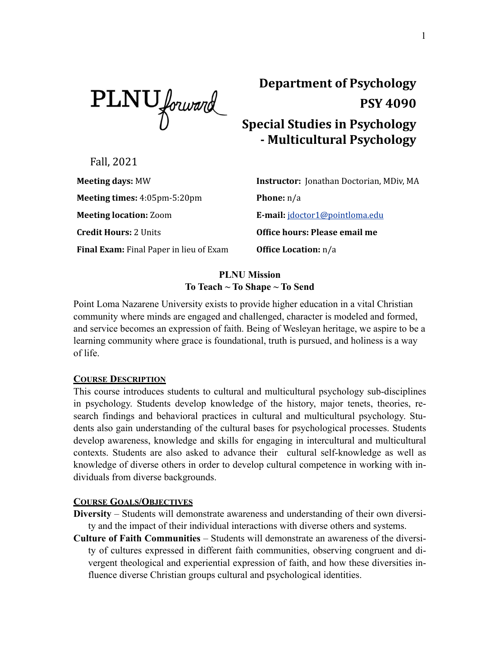PLNU forward

# **Department of Psychology PSY 4090 Special Studies in Psychology - Multicultural Psychology**

Fall, 2021

**Meeting times:** 4:05pm-5:20pm **Phone:** n/a **Meeting location:** Zoom **E-mail:** [jdoctor1@pointloma.edu](mailto:jdoctor1@pointloma.edu) **Credit Hours:** 2 Units **CLACK COMPANIES: Office hours: Please email me Final Exam:** Final Paper in lieu of Exam **Office Location:** n/a

**Meeting days:** MW **Instructor:** Jonathan Doctorian, MDiv, MA

## **PLNU Mission To Teach ~ To Shape ~ To Send**

Point Loma Nazarene University exists to provide higher education in a vital Christian community where minds are engaged and challenged, character is modeled and formed, and service becomes an expression of faith. Being of Wesleyan heritage, we aspire to be a learning community where grace is foundational, truth is pursued, and holiness is a way of life.

## **COURSE DESCRIPTION**

This course introduces students to cultural and multicultural psychology sub-disciplines in psychology. Students develop knowledge of the history, major tenets, theories, research findings and behavioral practices in cultural and multicultural psychology. Students also gain understanding of the cultural bases for psychological processes. Students develop awareness, knowledge and skills for engaging in intercultural and multicultural contexts. Students are also asked to advance their cultural self-knowledge as well as knowledge of diverse others in order to develop cultural competence in working with individuals from diverse backgrounds.

## **COURSE GOALS/OBJECTIVES**

- **Diversity** Students will demonstrate awareness and understanding of their own diversity and the impact of their individual interactions with diverse others and systems.
- **Culture of Faith Communities** Students will demonstrate an awareness of the diversity of cultures expressed in different faith communities, observing congruent and divergent theological and experiential expression of faith, and how these diversities influence diverse Christian groups cultural and psychological identities.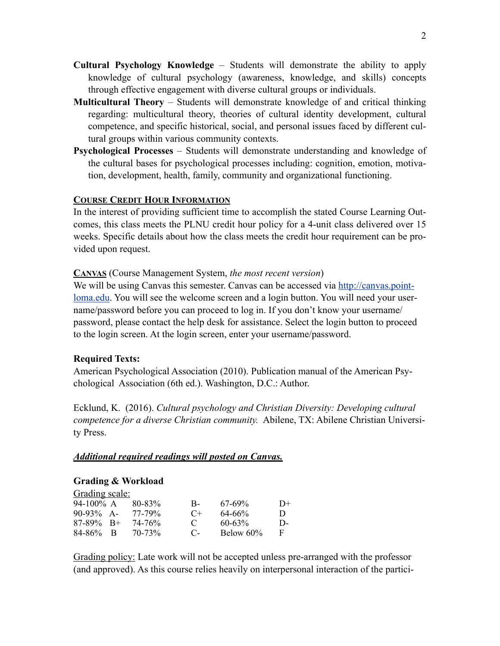- **Cultural Psychology Knowledge** Students will demonstrate the ability to apply knowledge of cultural psychology (awareness, knowledge, and skills) concepts through effective engagement with diverse cultural groups or individuals.
- **Multicultural Theory** Students will demonstrate knowledge of and critical thinking regarding: multicultural theory, theories of cultural identity development, cultural competence, and specific historical, social, and personal issues faced by different cultural groups within various community contexts.
- **Psychological Processes** Students will demonstrate understanding and knowledge of the cultural bases for psychological processes including: cognition, emotion, motivation, development, health, family, community and organizational functioning.

### **COURSE CREDIT HOUR INFORMATION**

In the interest of providing sufficient time to accomplish the stated Course Learning Outcomes, this class meets the PLNU credit hour policy for a 4-unit class delivered over 15 weeks. Specific details about how the class meets the credit hour requirement can be provided upon request.

### **CANVAS** (Course Management System, *the most recent version*)

We will be using Canvas this semester. Canvas can be accessed via [http://canvas.point](http://canvas.pointloma.edu)[loma.edu](http://canvas.pointloma.edu). You will see the welcome screen and a login button. You will need your username/password before you can proceed to log in. If you don't know your username/ password, please contact the help desk for assistance. Select the login button to proceed to the login screen. At the login screen, enter your username/password.

### **Required Texts:**

American Psychological Association (2010). Publication manual of the American Psychological Association (6th ed.). Washington, D.C.: Author.

Ecklund, K. (2016). *Cultural psychology and Christian Diversity: Developing cultural competence for a diverse Christian community.* Abilene, TX: Abilene Christian University Press.

#### *Additional required readings will posted on Canvas.*

#### **Grading & Workload**

| Grading scale: |                    |              |             |      |
|----------------|--------------------|--------------|-------------|------|
| 94-100% A      | 80-83%             | $B-$         | $67-69\%$   | $D+$ |
| $90-93\%$ A-   | 77-79%             | $C+$         | $64 - 66%$  | D    |
| $87-89\%$ B+   | 74-76 <sup>%</sup> | $\mathbf{C}$ | $60 - 63\%$ | D-   |
| $84 - 86\%$ B  | $70 - 73\%$        | - C-         | Below 60%   | E    |

Grading policy: Late work will not be accepted unless pre-arranged with the professor (and approved). As this course relies heavily on interpersonal interaction of the partici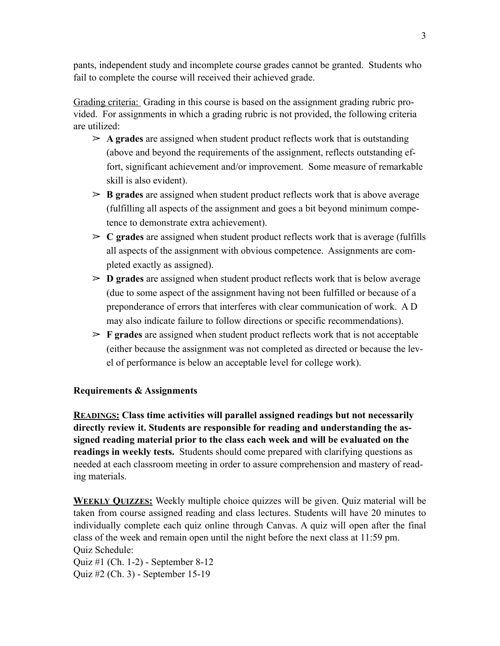pants, independent study and incomplete course grades cannot be granted. Students who fail to complete the course will received their achieved grade.

Grading criteria: Grading in this course is based on the assignment grading rubric provided. For assignments in which a grading rubric is not provided, the following criteria are utilized:

- $\geq$  A grades are assigned when student product reflects work that is outstanding (above and beyond the requirements of the assignment, reflects outstanding effort, significant achievement and/or improvement. Some measure of remarkable skill is also evident).
- $\geq$  **B** grades are assigned when student product reflects work that is above average (fulfilling all aspects of the assignment and goes a bit beyond minimum competence to demonstrate extra achievement).
- $\geq C$  grades are assigned when student product reflects work that is average (fulfills all aspects of the assignment with obvious competence. Assignments are completed exactly as assigned).
- $\geq$  **D** grades are assigned when student product reflects work that is below average (due to some aspect of the assignment having not been fulfilled or because of a preponderance of errors that interferes with clear communication of work. A D may also indicate failure to follow directions or specific recommendations).
- $\triangleright$  **F** grades are assigned when student product reflects work that is not acceptable (either because the assignment was not completed as directed or because the level of performance is below an acceptable level for college work).

## **Requirements & Assignments**

**READINGS: Class time activities will parallel assigned readings but not necessarily directly review it. Students are responsible for reading and understanding the assigned reading material prior to the class each week and will be evaluated on the readings in weekly tests.** Students should come prepared with clarifying questions as needed at each classroom meeting in order to assure comprehension and mastery of reading materials.

**WEEKLY QUIZZES:** Weekly multiple choice quizzes will be given. Quiz material will be taken from course assigned reading and class lectures. Students will have 20 minutes to individually complete each quiz online through Canvas. A quiz will open after the final class of the week and remain open until the night before the next class at 11:59 pm. Quiz Schedule:

Quiz #1 (Ch. 1-2) - September 8-12 Quiz #2 (Ch. 3) - September 15-19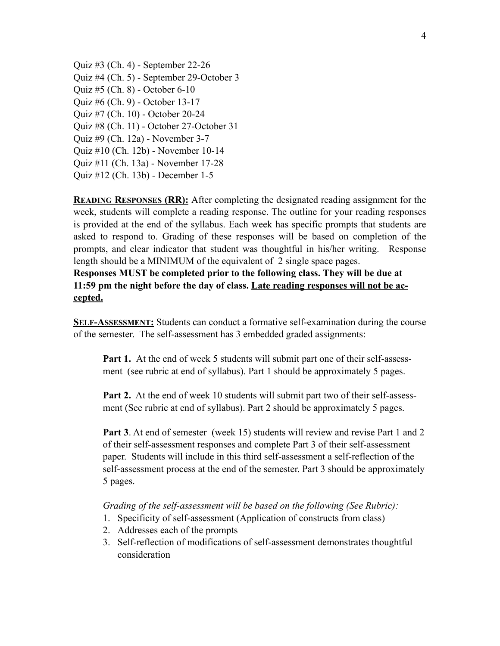Quiz #3 (Ch. 4) - September 22-26 Quiz #4 (Ch. 5) - September 29-October 3 Quiz #5 (Ch. 8) - October 6-10 Quiz #6 (Ch. 9) - October 13-17 Quiz #7 (Ch. 10) - October 20-24 Quiz #8 (Ch. 11) - October 27-October 31 Quiz #9 (Ch. 12a) - November 3-7 Quiz #10 (Ch. 12b) - November 10-14 Quiz #11 (Ch. 13a) - November 17-28 Quiz #12 (Ch. 13b) - December 1-5

**READING RESPONSES (RR):** After completing the designated reading assignment for the week, students will complete a reading response. The outline for your reading responses is provided at the end of the syllabus. Each week has specific prompts that students are asked to respond to. Grading of these responses will be based on completion of the prompts, and clear indicator that student was thoughtful in his/her writing. Response length should be a MINIMUM of the equivalent of 2 single space pages.

**Responses MUST be completed prior to the following class. They will be due at 11:59 pm the night before the day of class. Late reading responses will not be accepted.** 

**SELF-ASSESSMENT:** Students can conduct a formative self-examination during the course of the semester. The self-assessment has 3 embedded graded assignments:

**Part 1.** At the end of week 5 students will submit part one of their self-assessment (see rubric at end of syllabus). Part 1 should be approximately 5 pages.

**Part 2.** At the end of week 10 students will submit part two of their self-assessment (See rubric at end of syllabus). Part 2 should be approximately 5 pages.

**Part 3**. At end of semester (week 15) students will review and revise Part 1 and 2 of their self-assessment responses and complete Part 3 of their self-assessment paper. Students will include in this third self-assessment a self-reflection of the self-assessment process at the end of the semester. Part 3 should be approximately 5 pages.

*Grading of the self-assessment will be based on the following (See Rubric):* 

- 1. Specificity of self-assessment (Application of constructs from class)
- 2. Addresses each of the prompts
- 3. Self-reflection of modifications of self-assessment demonstrates thoughtful consideration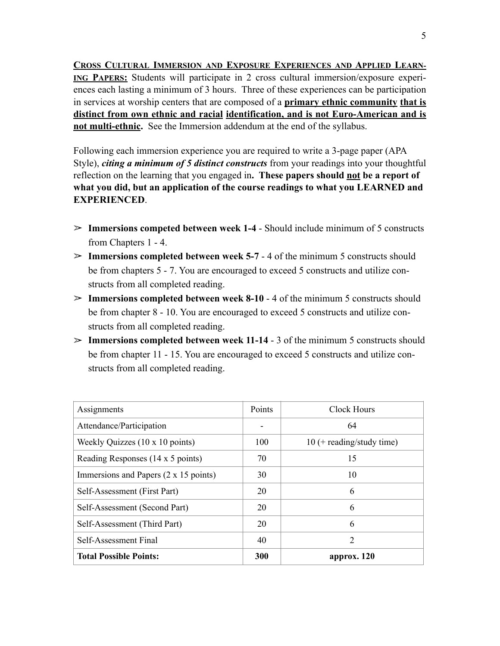**CROSS CULTURAL IMMERSION AND EXPOSURE EXPERIENCES AND APPLIED LEARN-ING PAPERS:** Students will participate in 2 cross cultural immersion/exposure experiences each lasting a minimum of 3 hours. Three of these experiences can be participation in services at worship centers that are composed of a **primary ethnic community that is distinct from own ethnic and racial identification, and is not Euro-American and is not multi-ethnic.** See the Immersion addendum at the end of the syllabus.

Following each immersion experience you are required to write a 3-page paper (APA Style), *citing a minimum of 5 distinct constructs* from your readings into your thoughtful reflection on the learning that you engaged in**. These papers should not be a report of what you did, but an application of the course readings to what you LEARNED and EXPERIENCED**.

- ! **Immersions competed between week 1-4**  Should include minimum of 5 constructs from Chapters 1 - 4.
- $\geq$  **Immersions completed between week 5-7 4 of the minimum 5 constructs should** be from chapters 5 - 7. You are encouraged to exceed 5 constructs and utilize constructs from all completed reading.
- ! **Immersions completed between week 8-10**  4 of the minimum 5 constructs should be from chapter 8 - 10. You are encouraged to exceed 5 constructs and utilize constructs from all completed reading.
- ! **Immersions completed between week 11-14**  3 of the minimum 5 constructs should be from chapter 11 - 15. You are encouraged to exceed 5 constructs and utilize constructs from all completed reading.

| Assignments                           | Points | Clock Hours                 |
|---------------------------------------|--------|-----------------------------|
| Attendance/Participation              |        | 64                          |
| Weekly Quizzes (10 x 10 points)       | 100    | $10$ (+ reading/study time) |
| Reading Responses (14 x 5 points)     | 70     | 15                          |
| Immersions and Papers (2 x 15 points) | 30     | 10                          |
| Self-Assessment (First Part)          | 20     | 6                           |
| Self-Assessment (Second Part)         | 20     | 6                           |
| Self-Assessment (Third Part)          | 20     | 6                           |
| Self-Assessment Final                 | 40     | $\overline{2}$              |
| <b>Total Possible Points:</b>         | 300    | approx. 120                 |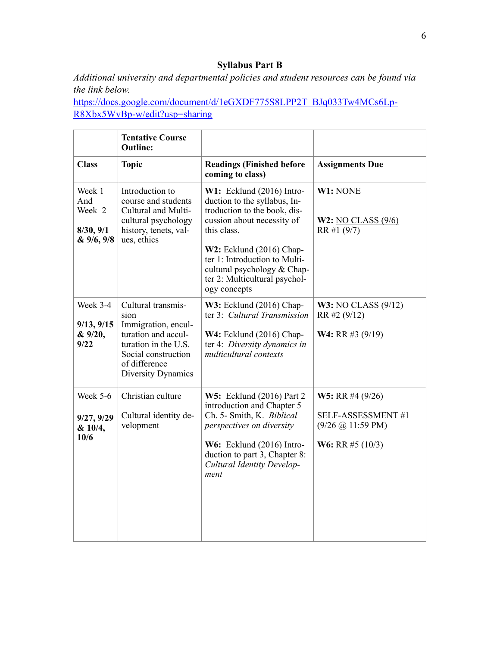## **Syllabus Part B**

*Additional university and departmental policies and student resources can be found via the link below.* 

[https://docs.google.com/document/d/1eGXDF775S8LPP2T\\_BJq033Tw4MCs6Lp](https://docs.google.com/document/d/1eGXDF775S8LPP2T_BJq033Tw4MCs6LpR8Xbx5WvBp-w/edit?usp=sharing)-[R8Xbx5WvBp-w/edit?usp=sharing](https://docs.google.com/document/d/1eGXDF775S8LPP2T_BJq033Tw4MCs6LpR8Xbx5WvBp-w/edit?usp=sharing)

|                                                    | <b>Tentative Course</b><br><b>Outline:</b>                                                                                                                     |                                                                                                                                                                                                                                                                                          |                                                                                                                 |
|----------------------------------------------------|----------------------------------------------------------------------------------------------------------------------------------------------------------------|------------------------------------------------------------------------------------------------------------------------------------------------------------------------------------------------------------------------------------------------------------------------------------------|-----------------------------------------------------------------------------------------------------------------|
| <b>Class</b>                                       | <b>Topic</b>                                                                                                                                                   | <b>Readings (Finished before</b><br>coming to class)                                                                                                                                                                                                                                     | <b>Assignments Due</b>                                                                                          |
| Week 1<br>And<br>Week 2<br>8/30, 9/1<br>& 9/6, 9/8 | Introduction to<br>course and students<br>Cultural and Multi-<br>cultural psychology<br>history, tenets, val-<br>ues, ethics                                   | $W1:$ Ecklund (2016) Intro-<br>duction to the syllabus, In-<br>troduction to the book, dis-<br>cussion about necessity of<br>this class.<br>$W2$ : Ecklund (2016) Chap-<br>ter 1: Introduction to Multi-<br>cultural psychology & Chap-<br>ter 2: Multicultural psychol-<br>ogy concepts | W1: NONE<br>W2: NO CLASS $(9/6)$<br>RR #1 (9/7)                                                                 |
| Week 3-4<br>9/13, 9/15<br>& 9/20,<br>9/22          | Cultural transmis-<br>sion<br>Immigration, encul-<br>turation and accul-<br>turation in the U.S.<br>Social construction<br>of difference<br>Diversity Dynamics | W3: Ecklund (2016) Chap-<br>ter 3: Cultural Transmission<br>$W4$ : Ecklund (2016) Chap-<br>ter 4: Diversity dynamics in<br>multicultural contexts                                                                                                                                        | W3: NO CLASS $(9/12)$<br>RR #2 (9/12)<br><b>W4:</b> RR #3 $(9/19)$                                              |
| <b>Week 5-6</b><br>9/27, 9/29<br>& 10/4,<br>10/6   | Christian culture<br>Cultural identity de-<br>velopment                                                                                                        | <b>W5:</b> Ecklund (2016) Part 2<br>introduction and Chapter 5<br>Ch. 5- Smith, K. Biblical<br>perspectives on diversity<br>W6: Ecklund (2016) Intro-<br>duction to part 3, Chapter 8:<br>Cultural Identity Develop-<br>ment                                                             | <b>W5:</b> RR #4 $(9/26)$<br>SELF-ASSESSMENT#1<br>$(9/26 \omega 11:59 \text{ PM})$<br><b>W6:</b> RR #5 $(10/3)$ |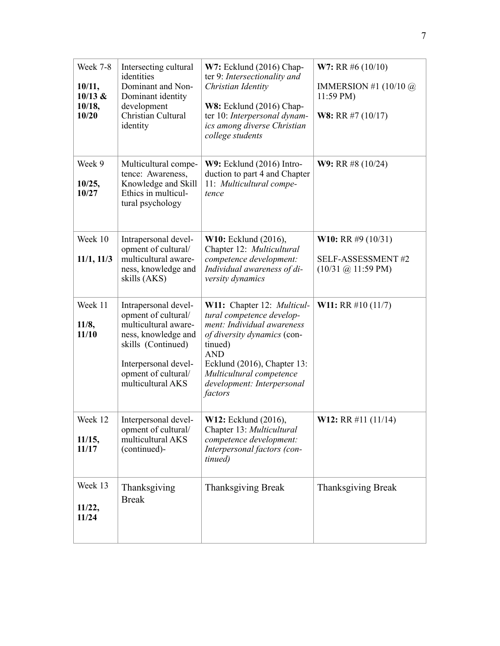| Week 7-8<br>10/11,<br>10/13 &<br>10/18,<br>10/20 | Intersecting cultural<br>identities<br>Dominant and Non-<br>Dominant identity<br>development<br>Christian Cultural<br>identity                                                       | $W7$ : Ecklund (2016) Chap-<br>ter 9: Intersectionality and<br>Christian Identity<br>$W8$ : Ecklund (2016) Chap-<br>ter 10: Interpersonal dynam-<br>ics among diverse Christian<br>college students                                               | <b>W7:</b> RR #6 $(10/10)$<br>IMMERSION #1 $(10/10 \omega)$<br>$11:59 \text{ PM}$<br><b>W8:</b> RR #7 $(10/17)$ |
|--------------------------------------------------|--------------------------------------------------------------------------------------------------------------------------------------------------------------------------------------|---------------------------------------------------------------------------------------------------------------------------------------------------------------------------------------------------------------------------------------------------|-----------------------------------------------------------------------------------------------------------------|
| Week 9<br>10/25,<br>10/27                        | Multicultural compe-<br>tence: Awareness,<br>Knowledge and Skill<br>Ethics in multicul-<br>tural psychology                                                                          | $W9:$ Ecklund (2016) Intro-<br>duction to part 4 and Chapter<br>11: Multicultural compe-<br>tence                                                                                                                                                 | <b>W9:</b> RR #8 $(10/24)$                                                                                      |
| Week 10<br>11/1, 11/3                            | Intrapersonal devel-<br>opment of cultural/<br>multicultural aware-<br>ness, knowledge and<br>skills (AKS)                                                                           | <b>W10:</b> Ecklund (2016),<br>Chapter 12: Multicultural<br>competence development:<br>Individual awareness of di-<br>versity dynamics                                                                                                            | <b>W10:</b> RR #9 $(10/31)$<br><b>SELF-ASSESSMENT#2</b><br>$(10/31 \; \textcircled{a} 11:59 \; \text{PM})$      |
| Week 11<br>11/8,<br>11/10                        | Intrapersonal devel-<br>opment of cultural/<br>multicultural aware-<br>ness, knowledge and<br>skills (Continued)<br>Interpersonal devel-<br>opment of cultural/<br>multicultural AKS | W11: Chapter 12: Multicul-<br>tural competence develop-<br>ment: Individual awareness<br>of diversity dynamics (con-<br>tinued)<br><b>AND</b><br>Ecklund (2016), Chapter 13:<br>Multicultural competence<br>development: Interpersonal<br>factors | <b>W11:</b> RR #10 $(11/7)$                                                                                     |
| Week 12<br>11/15,<br>11/17                       | Interpersonal devel-<br>opment of cultural/<br>multicultural AKS<br>(continued)-                                                                                                     | <b>W12:</b> Ecklund (2016),<br>Chapter 13: Multicultural<br>competence development:<br>Interpersonal factors (con-<br>tinued)                                                                                                                     | <b>W12:</b> RR #11 (11/14)                                                                                      |
| Week 13<br>11/22,<br>11/24                       | Thanksgiving<br><b>Break</b>                                                                                                                                                         | <b>Thanksgiving Break</b>                                                                                                                                                                                                                         | <b>Thanksgiving Break</b>                                                                                       |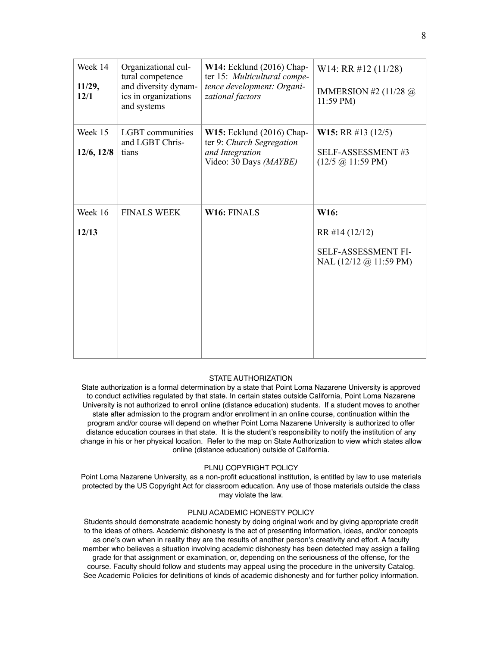| Week 14<br>11/29,<br>12/1 | Organizational cul-<br>tural competence<br>and diversity dynam-<br>ics in organizations<br>and systems | W14: Ecklund (2016) Chap-<br>ter 15: Multicultural compe-<br>tence development: Organi-<br>zational factors | W <sub>14</sub> : RR $\#12$ (11/28)<br>IMMERSION #2 $(11/28 \omega)$<br>$11:59 \text{ PM}$ |
|---------------------------|--------------------------------------------------------------------------------------------------------|-------------------------------------------------------------------------------------------------------------|--------------------------------------------------------------------------------------------|
| Week 15<br>12/6, 12/8     | <b>LGBT</b> communities<br>and LGBT Chris-<br>tians                                                    | $W15$ : Ecklund (2016) Chap-<br>ter 9: Church Segregation<br>and Integration<br>Video: 30 Days (MAYBE)      | <b>W15:</b> RR #13 (12/5)<br><b>SELF-ASSESSMENT#3</b><br>$(12/5 \omega 11:59 \text{ PM})$  |
| Week 16<br>12/13          | <b>FINALS WEEK</b>                                                                                     | <b>W16: FINALS</b>                                                                                          | W16:<br>RR #14 (12/12)<br>SELF-ASSESSMENT FI-<br>NAL $(12/12 \omega)$ 11:59 PM)            |

#### STATE AUTHORIZATION

State authorization is a formal determination by a state that Point Loma Nazarene University is approved to conduct activities regulated by that state. In certain states outside California, Point Loma Nazarene University is not authorized to enroll online (distance education) students. If a student moves to another state after admission to the program and/or enrollment in an online course, continuation within the program and/or course will depend on whether Point Loma Nazarene University is authorized to offer distance education courses in that state. It is the student's responsibility to notify the institution of any change in his or her physical location. Refer to the map on State Authorization to view which states allow online (distance education) outside of California.

#### PLNU COPYRIGHT POLICY

Point Loma Nazarene University, as a non-profit educational institution, is entitled by law to use materials protected by the US Copyright Act for classroom education. Any use of those materials outside the class may violate the law.

#### PLNU ACADEMIC HONESTY POLICY

Students should demonstrate academic honesty by doing original work and by giving appropriate credit to the ideas of others. Academic dishonesty is the act of presenting information, ideas, and/or concepts as one's own when in reality they are the results of another person's creativity and effort. A faculty member who believes a situation involving academic dishonesty has been detected may assign a failing grade for that assignment or examination, or, depending on the seriousness of the offense, for the course. Faculty should follow and students may appeal using the procedure in the university Catalog. See Academic Policies for definitions of kinds of academic dishonesty and for further policy information.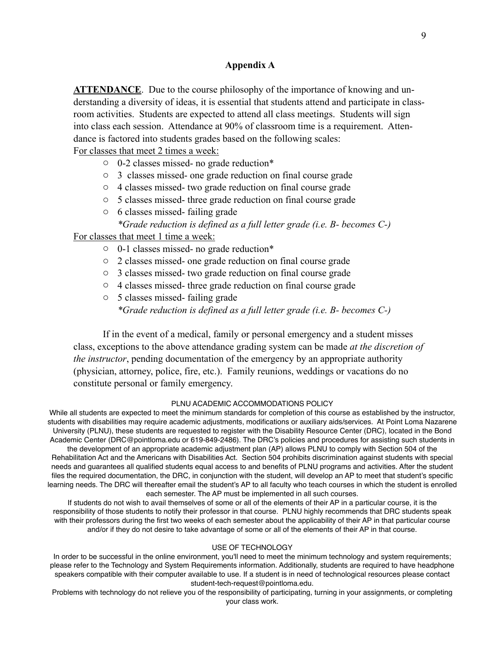### **Appendix A**

**ATTENDANCE**. Due to the course philosophy of the importance of knowing and understanding a diversity of ideas, it is essential that students attend and participate in classroom activities. Students are expected to attend all class meetings. Students will sign into class each session. Attendance at 90% of classroom time is a requirement. Attendance is factored into students grades based on the following scales:

For classes that meet 2 times a week:

- o 0-2 classes missed- no grade reduction\*
- o 3 classes missed- one grade reduction on final course grade
- o 4 classes missed- two grade reduction on final course grade
- o 5 classes missed- three grade reduction on final course grade
- o 6 classes missed- failing grade *\*Grade reduction is defined as a full letter grade (i.e. B- becomes C-)*

For classes that meet 1 time a week:

- o 0-1 classes missed- no grade reduction\*
- o 2 classes missed- one grade reduction on final course grade
- o 3 classes missed- two grade reduction on final course grade
- o 4 classes missed- three grade reduction on final course grade
- o 5 classes missed- failing grade *\*Grade reduction is defined as a full letter grade (i.e. B- becomes C-)*

 If in the event of a medical, family or personal emergency and a student misses class, exceptions to the above attendance grading system can be made *at the discretion of the instructor*, pending documentation of the emergency by an appropriate authority (physician, attorney, police, fire, etc.). Family reunions, weddings or vacations do no constitute personal or family emergency.

#### PLNU ACADEMIC ACCOMMODATIONS POLICY

While all students are expected to meet the minimum standards for completion of this course as established by the instructor, students with disabilities may require academic adjustments, modifications or auxiliary aids/services. At Point Loma Nazarene University (PLNU), these students are requested to register with the Disability Resource Center (DRC), located in the Bond Academic Center (DRC@pointloma.edu or 619-849-2486). The DRC's policies and procedures for assisting such students in the development of an appropriate academic adjustment plan (AP) allows PLNU to comply with Section 504 of the Rehabilitation Act and the Americans with Disabilities Act. Section 504 prohibits discrimination against students with special needs and guarantees all qualified students equal access to and benefits of PLNU programs and activities. After the student files the required documentation, the DRC, in conjunction with the student, will develop an AP to meet that student's specific learning needs. The DRC will thereafter email the student's AP to all faculty who teach courses in which the student is enrolled each semester. The AP must be implemented in all such courses.

If students do not wish to avail themselves of some or all of the elements of their AP in a particular course, it is the responsibility of those students to notify their professor in that course. PLNU highly recommends that DRC students speak with their professors during the first two weeks of each semester about the applicability of their AP in that particular course and/or if they do not desire to take advantage of some or all of the elements of their AP in that course.

#### USE OF TECHNOLOGY

In order to be successful in the online environment, you'll need to meet the minimum technology and system requirements; please refer to the Technology and System Requirements information. Additionally, students are required to have headphone speakers compatible with their computer available to use. If a student is in need of technological resources please contact student-tech-request@pointloma.edu.

Problems with technology do not relieve you of the responsibility of participating, turning in your assignments, or completing your class work.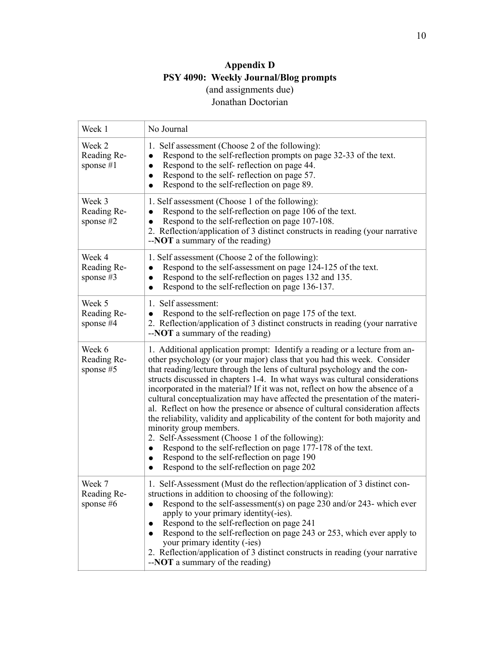## **Appendix D PSY 4090: Weekly Journal/Blog prompts**  (and assignments due) Jonathan Doctorian

| Week 1                               | No Journal                                                                                                                                                                                                                                                                                                                                                                                                                                                                                                                                                                                                                                                                                                                                                                                                                                                                                                                            |
|--------------------------------------|---------------------------------------------------------------------------------------------------------------------------------------------------------------------------------------------------------------------------------------------------------------------------------------------------------------------------------------------------------------------------------------------------------------------------------------------------------------------------------------------------------------------------------------------------------------------------------------------------------------------------------------------------------------------------------------------------------------------------------------------------------------------------------------------------------------------------------------------------------------------------------------------------------------------------------------|
| Week 2<br>Reading Re-<br>sponse $#1$ | 1. Self assessment (Choose 2 of the following):<br>Respond to the self-reflection prompts on page 32-33 of the text.<br>$\bullet$<br>Respond to the self-reflection on page 44.<br>$\bullet$<br>Respond to the self-reflection on page 57.<br>$\bullet$<br>Respond to the self-reflection on page 89.<br>$\bullet$                                                                                                                                                                                                                                                                                                                                                                                                                                                                                                                                                                                                                    |
| Week 3<br>Reading Re-<br>sponse $#2$ | 1. Self assessment (Choose 1 of the following):<br>Respond to the self-reflection on page 106 of the text.<br>Respond to the self-reflection on page 107-108.<br>$\bullet$<br>2. Reflection/application of 3 distinct constructs in reading (your narrative<br>$-NOT$ a summary of the reading)                                                                                                                                                                                                                                                                                                                                                                                                                                                                                                                                                                                                                                       |
| Week 4<br>Reading Re-<br>sponse $#3$ | 1. Self assessment (Choose 2 of the following):<br>Respond to the self-assessment on page 124-125 of the text.<br>$\bullet$<br>Respond to the self-reflection on pages 132 and 135.<br>$\bullet$<br>Respond to the self-reflection on page 136-137.<br>$\bullet$                                                                                                                                                                                                                                                                                                                                                                                                                                                                                                                                                                                                                                                                      |
| Week 5<br>Reading Re-<br>sponse #4   | 1. Self assessment:<br>Respond to the self-reflection on page 175 of the text.<br>2. Reflection/application of 3 distinct constructs in reading (your narrative<br>$-NOT$ a summary of the reading)                                                                                                                                                                                                                                                                                                                                                                                                                                                                                                                                                                                                                                                                                                                                   |
| Week 6<br>Reading Re-<br>sponse #5   | 1. Additional application prompt: Identify a reading or a lecture from an-<br>other psychology (or your major) class that you had this week. Consider<br>that reading/lecture through the lens of cultural psychology and the con-<br>structs discussed in chapters 1-4. In what ways was cultural considerations<br>incorporated in the material? If it was not, reflect on how the absence of a<br>cultural conceptualization may have affected the presentation of the materi-<br>al. Reflect on how the presence or absence of cultural consideration affects<br>the reliability, validity and applicability of the content for both majority and<br>minority group members.<br>2. Self-Assessment (Choose 1 of the following):<br>Respond to the self-reflection on page 177-178 of the text.<br>$\bullet$<br>Respond to the self-reflection on page 190<br>$\bullet$<br>Respond to the self-reflection on page 202<br>$\bullet$ |
| Week 7<br>Reading Re-<br>sponse #6   | 1. Self-Assessment (Must do the reflection/application of 3 distinct con-<br>structions in addition to choosing of the following):<br>Respond to the self-assessment(s) on page 230 and/or 243- which ever<br>apply to your primary identity(-ies).<br>Respond to the self-reflection on page 241<br>Respond to the self-reflection on page 243 or 253, which ever apply to<br>your primary identity (-ies)<br>2. Reflection/application of 3 distinct constructs in reading (your narrative<br>$-NOT$ a summary of the reading)                                                                                                                                                                                                                                                                                                                                                                                                      |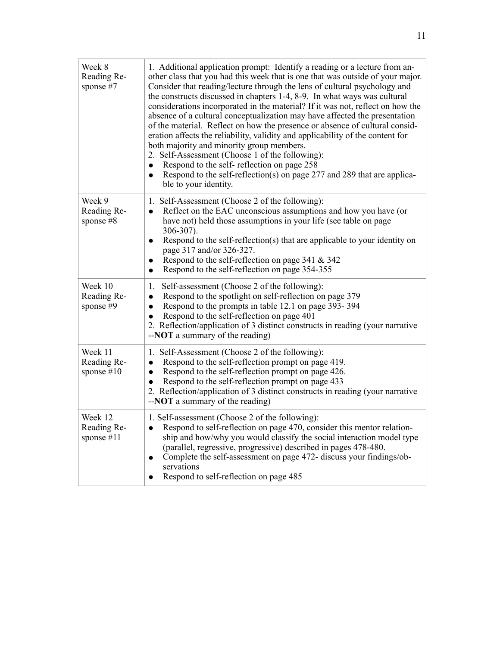| Week 8<br>Reading Re-<br>sponse #7     | 1. Additional application prompt: Identify a reading or a lecture from an-<br>other class that you had this week that is one that was outside of your major.<br>Consider that reading/lecture through the lens of cultural psychology and<br>the constructs discussed in chapters 1-4, 8-9. In what ways was cultural<br>considerations incorporated in the material? If it was not, reflect on how the<br>absence of a cultural conceptualization may have affected the presentation<br>of the material. Reflect on how the presence or absence of cultural consid-<br>eration affects the reliability, validity and applicability of the content for<br>both majority and minority group members.<br>2. Self-Assessment (Choose 1 of the following):<br>Respond to the self-reflection on page 258<br>$\bullet$<br>Respond to the self-reflection(s) on page 277 and 289 that are applica-<br>$\bullet$<br>ble to your identity. |
|----------------------------------------|------------------------------------------------------------------------------------------------------------------------------------------------------------------------------------------------------------------------------------------------------------------------------------------------------------------------------------------------------------------------------------------------------------------------------------------------------------------------------------------------------------------------------------------------------------------------------------------------------------------------------------------------------------------------------------------------------------------------------------------------------------------------------------------------------------------------------------------------------------------------------------------------------------------------------------|
| Week 9<br>Reading Re-<br>sponse #8     | 1. Self-Assessment (Choose 2 of the following):<br>Reflect on the EAC unconscious assumptions and how you have (or<br>$\bullet$<br>have not) held those assumptions in your life (see table on page<br>$306 - 307$ ).<br>Respond to the self-reflection(s) that are applicable to your identity on<br>$\bullet$<br>page 317 and/or 326-327.<br>Respond to the self-reflection on page 341 $&$ 342<br>Respond to the self-reflection on page 354-355<br>$\bullet$                                                                                                                                                                                                                                                                                                                                                                                                                                                                   |
| Week 10<br>Reading Re-<br>sponse #9    | Self-assessment (Choose 2 of the following):<br>1.<br>Respond to the spotlight on self-reflection on page 379<br>$\bullet$<br>Respond to the prompts in table 12.1 on page 393-394<br>$\bullet$<br>Respond to the self-reflection on page 401<br>$\bullet$<br>2. Reflection/application of 3 distinct constructs in reading (your narrative<br>$-NOT$ a summary of the reading)                                                                                                                                                                                                                                                                                                                                                                                                                                                                                                                                                    |
| Week 11<br>Reading Re-<br>sponse $#10$ | 1. Self-Assessment (Choose 2 of the following):<br>Respond to the self-reflection prompt on page 419.<br>$\bullet$<br>Respond to the self-reflection prompt on page 426.<br>$\bullet$<br>Respond to the self-reflection prompt on page 433<br>$\bullet$<br>2. Reflection/application of 3 distinct constructs in reading (your narrative<br>$-NOT$ a summary of the reading)                                                                                                                                                                                                                                                                                                                                                                                                                                                                                                                                                       |
| Week 12<br>Reading Re-<br>sponse #11   | 1. Self-assessment (Choose 2 of the following):<br>Respond to self-reflection on page 470, consider this mentor relation-<br>$\bullet$<br>ship and how/why you would classify the social interaction model type<br>(parallel, regressive, progressive) described in pages 478-480.<br>Complete the self-assessment on page 472- discuss your findings/ob-<br>$\bullet$<br>servations<br>Respond to self-reflection on page 485                                                                                                                                                                                                                                                                                                                                                                                                                                                                                                     |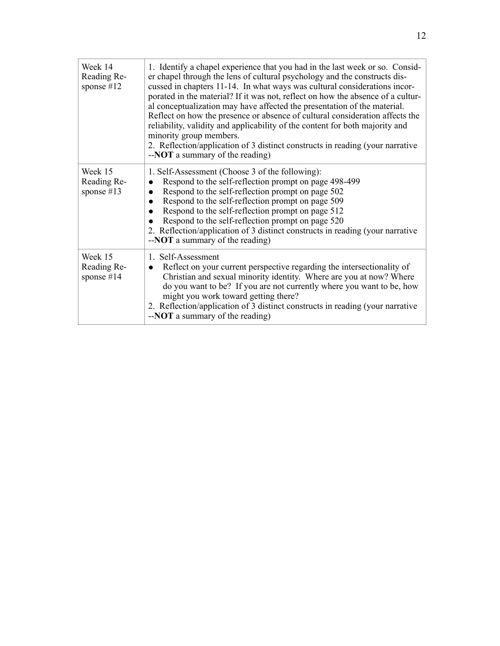| Week 14<br>Reading Re-<br>sponse $#12$ | 1. Identify a chapel experience that you had in the last week or so. Consid-<br>er chapel through the lens of cultural psychology and the constructs dis-<br>cussed in chapters 11-14. In what ways was cultural considerations incor-<br>porated in the material? If it was not, reflect on how the absence of a cultur-<br>al conceptualization may have affected the presentation of the material.<br>Reflect on how the presence or absence of cultural consideration affects the<br>reliability, validity and applicability of the content for both majority and<br>minority group members.<br>2. Reflection/application of 3 distinct constructs in reading (your narrative<br>$-NOT$ a summary of the reading) |
|----------------------------------------|-----------------------------------------------------------------------------------------------------------------------------------------------------------------------------------------------------------------------------------------------------------------------------------------------------------------------------------------------------------------------------------------------------------------------------------------------------------------------------------------------------------------------------------------------------------------------------------------------------------------------------------------------------------------------------------------------------------------------|
| Week 15<br>Reading Re-<br>sponse $#13$ | 1. Self-Assessment (Choose 3 of the following):<br>Respond to the self-reflection prompt on page 498-499<br>$\bullet$<br>Respond to the self-reflection prompt on page 502<br>$\bullet$<br>Respond to the self-reflection prompt on page 509<br>$\bullet$<br>Respond to the self-reflection prompt on page 512<br>Respond to the self-reflection prompt on page 520<br>2. Reflection/application of 3 distinct constructs in reading (your narrative<br>-- <b>NOT</b> a summary of the reading)                                                                                                                                                                                                                       |
| Week 15<br>Reading Re-<br>sponse $#14$ | 1. Self-Assessment<br>Reflect on your current perspective regarding the intersectionality of<br>$\bullet$<br>Christian and sexual minority identity. Where are you at now? Where<br>do you want to be? If you are not currently where you want to be, how<br>might you work toward getting there?<br>2. Reflection/application of 3 distinct constructs in reading (your narrative<br>--NOT a summary of the reading)                                                                                                                                                                                                                                                                                                 |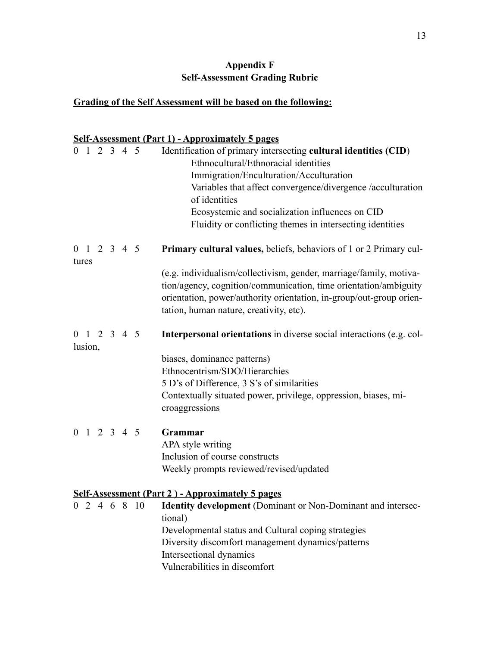## **Appendix F Self-Assessment Grading Rubric**

## **Grading of the Self Assessment will be based on the following:**

## **Self-Assessment (Part 1) - Approximately 5 pages**

| $0 \t1 \t2 \t3 \t4 \t5$            |  |  |     | Identification of primary intersecting cultural identities (CID)<br>Ethnocultural/Ethnoracial identities<br>Immigration/Enculturation/Acculturation<br>Variables that affect convergence/divergence /acculturation<br>of identities<br>Ecosystemic and socialization influences on CID<br>Fluidity or conflicting themes in intersecting identities |
|------------------------------------|--|--|-----|-----------------------------------------------------------------------------------------------------------------------------------------------------------------------------------------------------------------------------------------------------------------------------------------------------------------------------------------------------|
| $0 \t1 \t2 \t3 \t4 \t5$<br>tures   |  |  |     | <b>Primary cultural values, beliefs, behaviors of 1 or 2 Primary cul-</b>                                                                                                                                                                                                                                                                           |
|                                    |  |  |     | (e.g. individualism/collectivism, gender, marriage/family, motiva-<br>tion/agency, cognition/communication, time orientation/ambiguity<br>orientation, power/authority orientation, in-group/out-group orien-<br>tation, human nature, creativity, etc).                                                                                            |
| $0 \t1 \t2 \t3 \t4 \t5$<br>lusion, |  |  |     | Interpersonal orientations in diverse social interactions (e.g. col-                                                                                                                                                                                                                                                                                |
|                                    |  |  |     | biases, dominance patterns)<br>Ethnocentrism/SDO/Hierarchies<br>5 D's of Difference, 3 S's of similarities<br>Contextually situated power, privilege, oppression, biases, mi-<br>croaggressions                                                                                                                                                     |
| $0 \t1 \t2 \t3 \t4 \t5$            |  |  |     | Grammar                                                                                                                                                                                                                                                                                                                                             |
|                                    |  |  |     | APA style writing<br>Inclusion of course constructs                                                                                                                                                                                                                                                                                                 |
|                                    |  |  |     | Weekly prompts reviewed/revised/updated                                                                                                                                                                                                                                                                                                             |
|                                    |  |  |     | <b>Self-Assessment (Part 2) - Approximately 5 pages</b>                                                                                                                                                                                                                                                                                             |
| 0 2 4 6 8                          |  |  | -10 | Identity development (Dominant or Non-Dominant and intersec-<br>tional)<br>Developmental status and Cultural coping strategies<br>Diversity discomfort management dynamics/patterns<br>Intersectional dynamics<br>Vulnerabilities in discomfort                                                                                                     |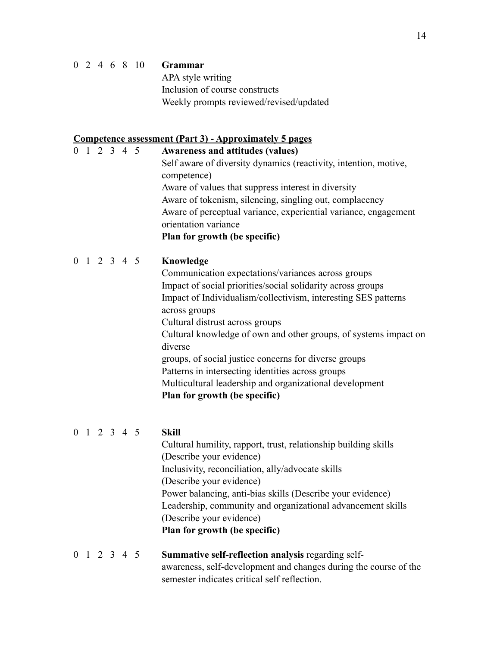### 0 2 4 6 8 10 **Grammar**

 APA style writing Inclusion of course constructs Weekly prompts reviewed/revised/updated

### **Competence assessment (Part 3) - Approximately 5 pages**

0 1 2 3 4 5 **Awareness and attitudes (values)** Self aware of diversity dynamics (reactivity, intention, motive, competence) Aware of values that suppress interest in diversity Aware of tokenism, silencing, singling out, complacency Aware of perceptual variance, experiential variance, engagement orientation variance **Plan for growth (be specific)** 0 1 2 3 4 5 **Knowledge** Communication expectations/variances across groups Impact of social priorities/social solidarity across groups Impact of Individualism/collectivism, interesting SES patterns across groups Cultural distrust across groups Cultural knowledge of own and other groups, of systems impact on diverse groups, of social justice concerns for diverse groups Patterns in intersecting identities across groups

Multicultural leadership and organizational development

## **Plan for growth (be specific)**

## 0 1 2 3 4 5 **Skill**

Cultural humility, rapport, trust, relationship building skills (Describe your evidence) Inclusivity, reconciliation, ally/advocate skills (Describe your evidence) Power balancing, anti-bias skills (Describe your evidence) Leadership, community and organizational advancement skills (Describe your evidence) **Plan for growth (be specific)** 

0 1 2 3 4 5 **Summative self-reflection analysis** regarding self awareness, self-development and changes during the course of the semester indicates critical self reflection.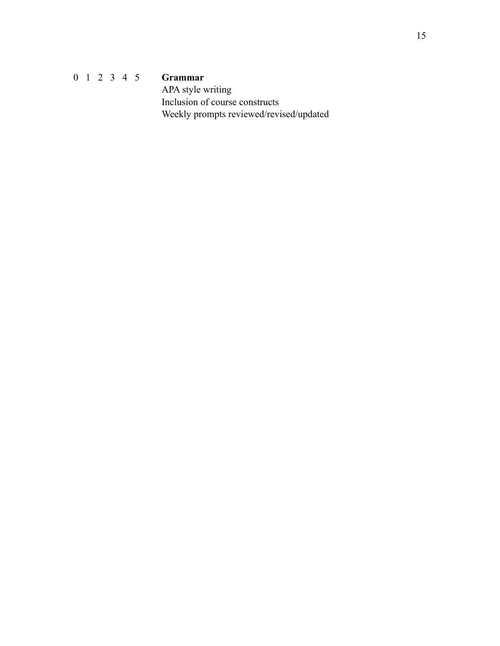0 1 2 3 4 5 **Grammar** APA style writing Inclusion of course constructs Weekly prompts reviewed/revised/updated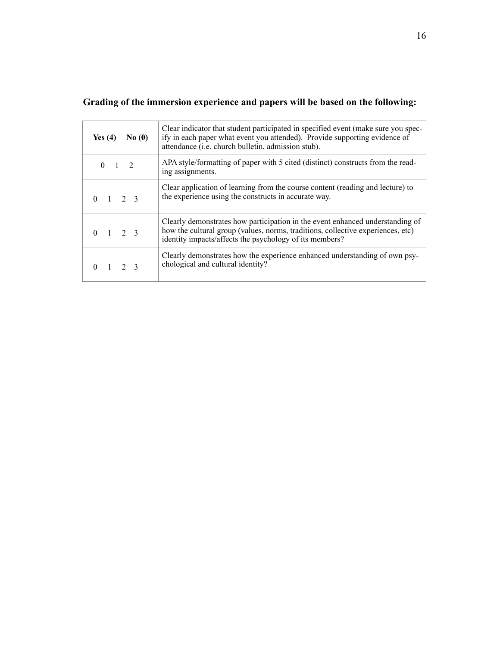| Yes $(4)$<br>No(0)  | Clear indicator that student participated in specified event (make sure you spec-<br>ify in each paper what event you attended). Provide supporting evidence of<br>attendance (i.e. church bulletin, admission stub).       |
|---------------------|-----------------------------------------------------------------------------------------------------------------------------------------------------------------------------------------------------------------------------|
| $0 \t 1 \t 2$       | APA style/formatting of paper with 5 cited (distinct) constructs from the read-<br>ing assignments.                                                                                                                         |
| $0 \t1 \t2 \t3$     | Clear application of learning from the course content (reading and lecture) to<br>the experience using the constructs in accurate way.                                                                                      |
| $0 \t1 \t2 \t3$     | Clearly demonstrates how participation in the event enhanced understanding of<br>how the cultural group (values, norms, traditions, collective experiences, etc)<br>identity impacts/affects the psychology of its members? |
| $1 \quad 2 \quad 3$ | Clearly demonstrates how the experience enhanced understanding of own psy-<br>chological and cultural identity?                                                                                                             |

## **Grading of the immersion experience and papers will be based on the following:**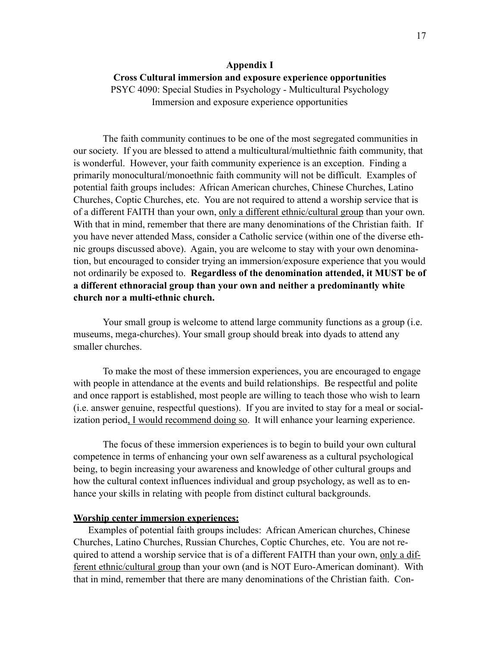## **Appendix I Cross Cultural immersion and exposure experience opportunities**  PSYC 4090: Special Studies in Psychology - Multicultural Psychology Immersion and exposure experience opportunities

The faith community continues to be one of the most segregated communities in our society. If you are blessed to attend a multicultural/multiethnic faith community, that is wonderful. However, your faith community experience is an exception. Finding a primarily monocultural/monoethnic faith community will not be difficult. Examples of potential faith groups includes: African American churches, Chinese Churches, Latino Churches, Coptic Churches, etc. You are not required to attend a worship service that is of a different FAITH than your own, only a different ethnic/cultural group than your own. With that in mind, remember that there are many denominations of the Christian faith. If you have never attended Mass, consider a Catholic service (within one of the diverse ethnic groups discussed above). Again, you are welcome to stay with your own denomination, but encouraged to consider trying an immersion/exposure experience that you would not ordinarily be exposed to. **Regardless of the denomination attended, it MUST be of a different ethnoracial group than your own and neither a predominantly white church nor a multi-ethnic church.**

 Your small group is welcome to attend large community functions as a group (i.e. museums, mega-churches). Your small group should break into dyads to attend any smaller churches.

To make the most of these immersion experiences, you are encouraged to engage with people in attendance at the events and build relationships. Be respectful and polite and once rapport is established, most people are willing to teach those who wish to learn (i.e. answer genuine, respectful questions). If you are invited to stay for a meal or socialization period, I would recommend doing so. It will enhance your learning experience.

 The focus of these immersion experiences is to begin to build your own cultural competence in terms of enhancing your own self awareness as a cultural psychological being, to begin increasing your awareness and knowledge of other cultural groups and how the cultural context influences individual and group psychology, as well as to enhance your skills in relating with people from distinct cultural backgrounds.

### **Worship center immersion experiences:**

Examples of potential faith groups includes: African American churches, Chinese Churches, Latino Churches, Russian Churches, Coptic Churches, etc. You are not required to attend a worship service that is of a different FAITH than your own, only a different ethnic/cultural group than your own (and is NOT Euro-American dominant). With that in mind, remember that there are many denominations of the Christian faith. Con-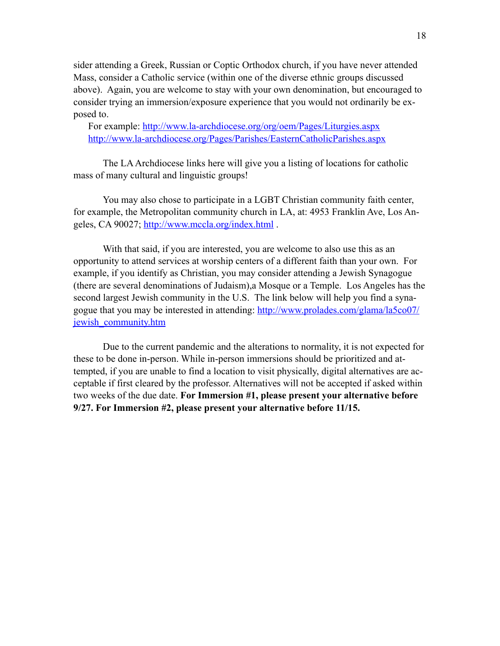sider attending a Greek, Russian or Coptic Orthodox church, if you have never attended Mass, consider a Catholic service (within one of the diverse ethnic groups discussed above). Again, you are welcome to stay with your own denomination, but encouraged to consider trying an immersion/exposure experience that you would not ordinarily be exposed to.

For example: <http://www.la-archdiocese.org/org/oem/Pages/Liturgies.aspx> <http://www.la-archdiocese.org/Pages/Parishes/EasternCatholicParishes.aspx>

 The LA Archdiocese links here will give you a listing of locations for catholic mass of many cultural and linguistic groups!

 You may also chose to participate in a LGBT Christian community faith center, for example, the Metropolitan community church in LA, at: 4953 Franklin Ave, Los Angeles, CA 90027; <http://www.mccla.org/index.html>.

 With that said, if you are interested, you are welcome to also use this as an opportunity to attend services at worship centers of a different faith than your own. For example, if you identify as Christian, you may consider attending a Jewish Synagogue (there are several denominations of Judaism),a Mosque or a Temple. Los Angeles has the second largest Jewish community in the U.S. The link below will help you find a synagogue that you may be interested in attending: [http://www.prolades.com/glama/la5co07/](http://www.prolades.com/glama/la5co07/jewish_community.htm) jewish community.htm

 Due to the current pandemic and the alterations to normality, it is not expected for these to be done in-person. While in-person immersions should be prioritized and attempted, if you are unable to find a location to visit physically, digital alternatives are acceptable if first cleared by the professor. Alternatives will not be accepted if asked within two weeks of the due date. **For Immersion #1, please present your alternative before 9/27. For Immersion #2, please present your alternative before 11/15.**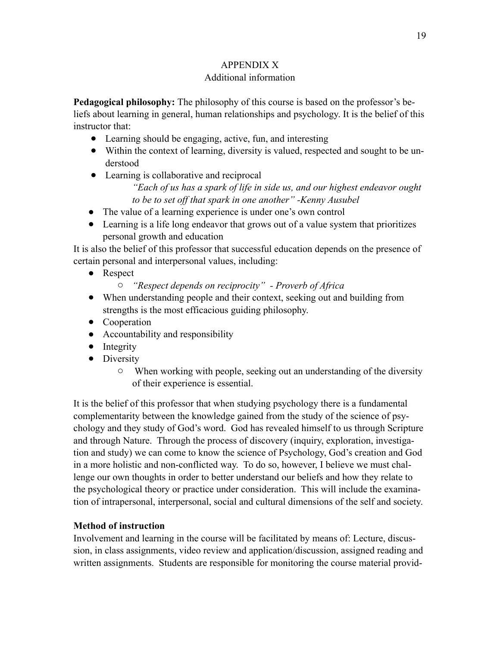## APPENDIX X

## Additional information

**Pedagogical philosophy:** The philosophy of this course is based on the professor's beliefs about learning in general, human relationships and psychology. It is the belief of this instructor that:

- Learning should be engaging, active, fun, and interesting
- Within the context of learning, diversity is valued, respected and sought to be understood
- Learning is collaborative and reciprocal *"Each of us has a spark of life in side us, and our highest endeavor ought* 
	- *to be to set off that spark in one another" -Kenny Ausubel*
- The value of a learning experience is under one's own control
- Learning is a life long endeavor that grows out of a value system that prioritizes personal growth and education

It is also the belief of this professor that successful education depends on the presence of certain personal and interpersonal values, including:

- Respect
	- o *"Respect depends on reciprocity" Proverb of Africa*
- When understanding people and their context, seeking out and building from strengths is the most efficacious guiding philosophy.
- Cooperation
- Accountability and responsibility
- Integrity
- Diversity
	- o When working with people, seeking out an understanding of the diversity of their experience is essential.

It is the belief of this professor that when studying psychology there is a fundamental complementarity between the knowledge gained from the study of the science of psychology and they study of God's word. God has revealed himself to us through Scripture and through Nature. Through the process of discovery (inquiry, exploration, investigation and study) we can come to know the science of Psychology, God's creation and God in a more holistic and non-conflicted way. To do so, however, I believe we must challenge our own thoughts in order to better understand our beliefs and how they relate to the psychological theory or practice under consideration. This will include the examination of intrapersonal, interpersonal, social and cultural dimensions of the self and society.

## **Method of instruction**

Involvement and learning in the course will be facilitated by means of: Lecture, discussion, in class assignments, video review and application/discussion, assigned reading and written assignments. Students are responsible for monitoring the course material provid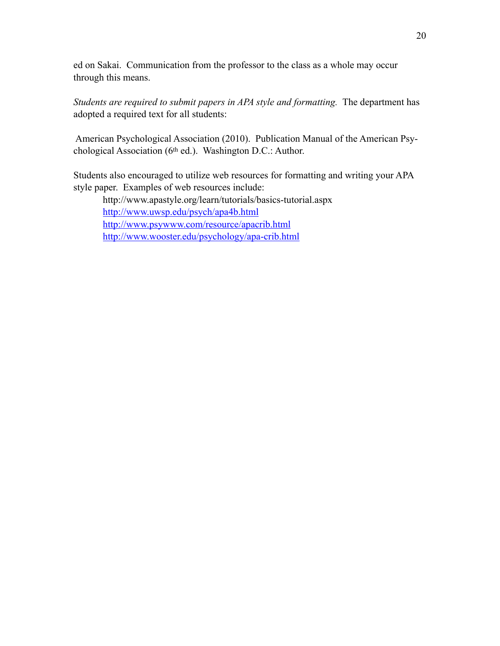ed on Sakai. Communication from the professor to the class as a whole may occur through this means.

*Students are required to submit papers in APA style and formatting.* The department has adopted a required text for all students:

 American Psychological Association (2010). Publication Manual of the American Psychological Association (6th ed.). Washington D.C.: Author.

Students also encouraged to utilize web resources for formatting and writing your APA style paper. Examples of web resources include:

 <http://www.apastyle.org/learn/tutorials/basics-tutorial.aspx> <http://www.uwsp.edu/psych/apa4b.html> <http://www.psywww.com/resource/apacrib.html> <http://www.wooster.edu/psychology/apa-crib.html>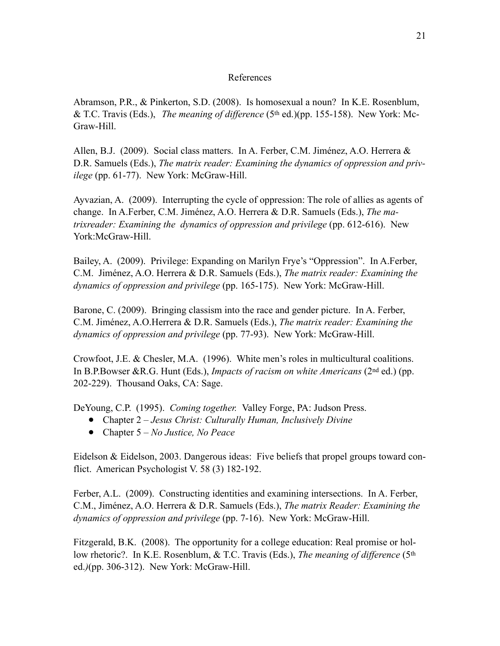### References

Abramson, P.R., & Pinkerton, S.D. (2008). Is homosexual a noun? In K.E. Rosenblum, & T.C. Travis (Eds.), *The meaning of difference* (5th ed.)(pp. 155-158). New York: Mc-Graw-Hill.

Allen, B.J. (2009). Social class matters. In A. Ferber, C.M. Jiménez, A.O. Herrera & D.R. Samuels (Eds.), *The matrix reader: Examining the dynamics of oppression and privilege* (pp. 61-77). New York: McGraw-Hill.

Ayvazian, A. (2009). Interrupting the cycle of oppression: The role of allies as agents of change. In A.Ferber, C.M. Jiménez, A.O. Herrera & D.R. Samuels (Eds.), *The matrixreader: Examining the dynamics of oppression and privilege* (pp. 612-616). New York:McGraw-Hill.

Bailey, A. (2009). Privilege: Expanding on Marilyn Frye's "Oppression". In A.Ferber, C.M. Jiménez, A.O. Herrera & D.R. Samuels (Eds.), *The matrix reader: Examining the dynamics of oppression and privilege* (pp. 165-175). New York: McGraw-Hill.

Barone, C. (2009). Bringing classism into the race and gender picture. In A. Ferber, C.M. Jiménez, A.O.Herrera & D.R. Samuels (Eds.), *The matrix reader: Examining the dynamics of oppression and privilege* (pp. 77-93). New York: McGraw-Hill.

Crowfoot, J.E. & Chesler, M.A. (1996). White men's roles in multicultural coalitions. In B.P.Bowser &R.G. Hunt (Eds.), *Impacts of racism on white Americans* (2nd ed.) (pp. 202-229). Thousand Oaks, CA: Sage.

DeYoung, C.P. (1995). *Coming together.* Valley Forge, PA: Judson Press.

- Chapter 2 *Jesus Christ: Culturally Human, Inclusively Divine*
- Chapter 5 *No Justice, No Peace*

Eidelson & Eidelson, 2003. Dangerous ideas: Five beliefs that propel groups toward conflict. American Psychologist V. 58 (3) 182-192.

Ferber, A.L. (2009). Constructing identities and examining intersections. In A. Ferber, C.M., Jiménez, A.O. Herrera & D.R. Samuels (Eds.), *The matrix Reader: Examining the dynamics of oppression and privilege* (pp. 7-16). New York: McGraw-Hill.

Fitzgerald, B.K. (2008). The opportunity for a college education: Real promise or hollow rhetoric?. In K.E. Rosenblum, & T.C. Travis (Eds.), *The meaning of difference* (5th ed.*)*(pp. 306-312). New York: McGraw-Hill.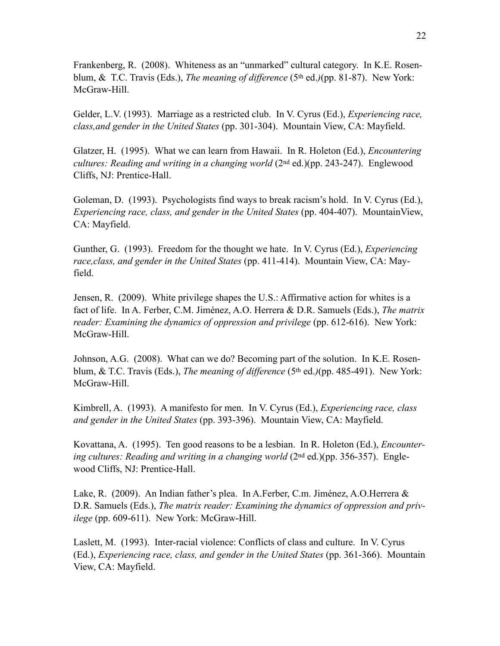Frankenberg, R. (2008). Whiteness as an "unmarked" cultural category. In K.E. Rosenblum, & T.C. Travis (Eds.), *The meaning of difference* (5th ed.*)*(pp. 81-87). New York: McGraw-Hill.

Gelder, L.V. (1993). Marriage as a restricted club. In V. Cyrus (Ed.), *Experiencing race, class,and gender in the United States* (pp. 301-304). Mountain View, CA: Mayfield.

Glatzer, H. (1995). What we can learn from Hawaii. In R. Holeton (Ed.), *Encountering cultures: Reading and writing in a changing world* (2nd ed.)(pp. 243-247). Englewood Cliffs, NJ: Prentice-Hall.

Goleman, D. (1993). Psychologists find ways to break racism's hold. In V. Cyrus (Ed.), *Experiencing race, class, and gender in the United States* (pp. 404-407). MountainView, CA: Mayfield.

Gunther, G. (1993). Freedom for the thought we hate. In V. Cyrus (Ed.), *Experiencing race,class, and gender in the United States* (pp. 411-414). Mountain View, CA: Mayfield.

Jensen, R. (2009). White privilege shapes the U.S.: Affirmative action for whites is a fact of life. In A. Ferber, C.M. Jiménez, A.O. Herrera & D.R. Samuels (Eds.), *The matrix reader: Examining the dynamics of oppression and privilege* (pp. 612-616). New York: McGraw-Hill.

Johnson, A.G. (2008). What can we do? Becoming part of the solution. In K.E. Rosenblum, & T.C. Travis (Eds.), *The meaning of difference* (5th ed.*)*(pp. 485-491). New York: McGraw-Hill.

Kimbrell, A. (1993). A manifesto for men. In V. Cyrus (Ed.), *Experiencing race, class and gender in the United States* (pp. 393-396). Mountain View, CA: Mayfield.

Kovattana, A. (1995). Ten good reasons to be a lesbian. In R. Holeton (Ed.), *Encounter*ing cultures: Reading and writing in a changing world (2<sup>nd</sup> ed.)(pp. 356-357). Englewood Cliffs, NJ: Prentice-Hall.

Lake, R. (2009). An Indian father's plea. In A.Ferber, C.m. Jiménez, A.O.Herrera & D.R. Samuels (Eds.), *The matrix reader: Examining the dynamics of oppression and privilege* (pp. 609-611). New York: McGraw-Hill.

Laslett, M. (1993). Inter-racial violence: Conflicts of class and culture. In V. Cyrus (Ed.), *Experiencing race, class, and gender in the United States* (pp. 361-366). Mountain View, CA: Mayfield.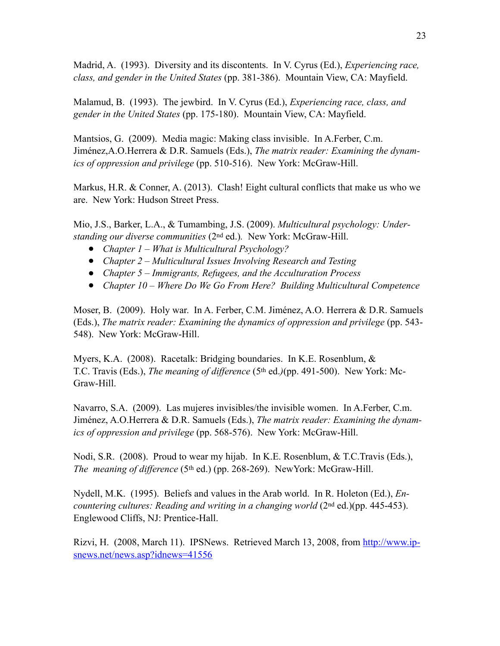Madrid, A. (1993). Diversity and its discontents. In V. Cyrus (Ed.), *Experiencing race, class, and gender in the United States* (pp. 381-386). Mountain View, CA: Mayfield.

Malamud, B. (1993). The jewbird. In V. Cyrus (Ed.), *Experiencing race, class, and gender in the United States* (pp. 175-180). Mountain View, CA: Mayfield.

Mantsios, G. (2009). Media magic: Making class invisible. In A.Ferber, C.m. Jiménez,A.O.Herrera & D.R. Samuels (Eds.), *The matrix reader: Examining the dynamics of oppression and privilege* (pp. 510-516). New York: McGraw-Hill.

Markus, H.R. & Conner, A. (2013). Clash! Eight cultural conflicts that make us who we are. New York: Hudson Street Press.

Mio, J.S., Barker, L.A., & Tumambing, J.S. (2009). *Multicultural psychology: Understanding our diverse communities* (2nd ed.)*.* New York: McGraw-Hill.

- *Chapter 1 What is Multicultural Psychology?*
- *Chapter 2 Multicultural Issues Involving Research and Testing*
- *Chapter 5 Immigrants, Refugees, and the Acculturation Process*
- *Chapter 10 Where Do We Go From Here? Building Multicultural Competence*

Moser, B. (2009). Holy war. In A. Ferber, C.M. Jiménez, A.O. Herrera & D.R. Samuels (Eds.), *The matrix reader: Examining the dynamics of oppression and privilege* (pp. 543- 548). New York: McGraw-Hill.

Myers, K.A. (2008). Racetalk: Bridging boundaries. In K.E. Rosenblum, & T.C. Travis (Eds.), *The meaning of difference* (5th ed.*)*(pp. 491-500). New York: Mc-Graw-Hill.

Navarro, S.A. (2009). Las mujeres invisibles/the invisible women. In A.Ferber, C.m. Jiménez, A.O.Herrera & D.R. Samuels (Eds.), *The matrix reader: Examining the dynamics of oppression and privilege* (pp. 568-576). New York: McGraw-Hill.

Nodi, S.R. (2008). Proud to wear my hijab. In K.E. Rosenblum, & T.C.Travis (Eds.), *The meaning of difference* (5<sup>th</sup> ed.) (pp. 268-269). NewYork: McGraw-Hill.

Nydell, M.K. (1995). Beliefs and values in the Arab world. In R. Holeton (Ed.), *Encountering cultures: Reading and writing in a changing world* (2<sup>nd ed.)(pp. 445-453).</sup> Englewood Cliffs, NJ: Prentice-Hall.

Rizvi, H. (2008, March 11). IPSNews. Retrieved March 13, 2008, from [http://www.ip](http://www.ipsnews.net/news.asp?idnews=41556)[snews.net/news.asp?idnews=41556](http://www.ipsnews.net/news.asp?idnews=41556)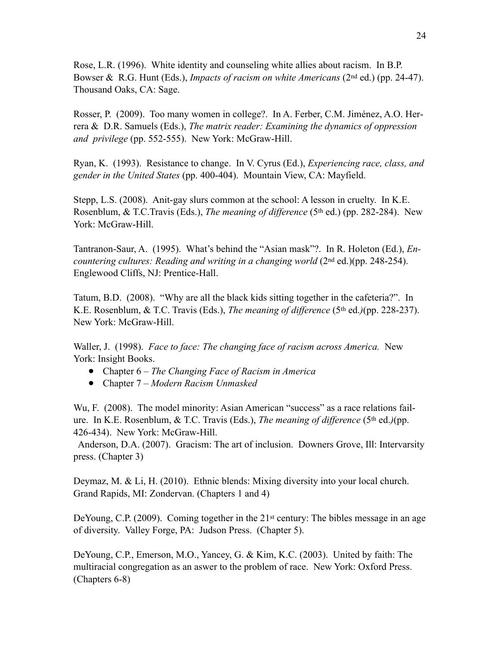Rose, L.R. (1996). White identity and counseling white allies about racism. In B.P. Bowser & R.G. Hunt (Eds.), *Impacts of racism on white Americans* (2nd ed.) (pp. 24-47). Thousand Oaks, CA: Sage.

Rosser, P. (2009). Too many women in college?. In A. Ferber, C.M. Jiménez, A.O. Herrera & D.R. Samuels (Eds.), *The matrix reader: Examining the dynamics of oppression and privilege* (pp. 552-555). New York: McGraw-Hill.

Ryan, K. (1993). Resistance to change. In V. Cyrus (Ed.), *Experiencing race, class, and gender in the United States* (pp. 400-404). Mountain View, CA: Mayfield.

Stepp, L.S. (2008). Anit-gay slurs common at the school: A lesson in cruelty. In K.E. Rosenblum, & T.C.Travis (Eds.), *The meaning of difference* (5<sup>th</sup> ed.) (pp. 282-284). New York: McGraw-Hill.

Tantranon-Saur, A. (1995). What's behind the "Asian mask"?. In R. Holeton (Ed.), *Encountering cultures: Reading and writing in a changing world* (2<sup>nd</sup> ed.)(pp. 248-254). Englewood Cliffs, NJ: Prentice-Hall.

Tatum, B.D. (2008). "Why are all the black kids sitting together in the cafeteria?". In K.E. Rosenblum, & T.C. Travis (Eds.), *The meaning of difference* (5th ed.*)*(pp. 228-237). New York: McGraw-Hill.

Waller, J. (1998). *Face to face: The changing face of racism across America.* New York: Insight Books.

- Chapter 6 *The Changing Face of Racism in America*
- Chapter 7 *Modern Racism Unmasked*

Wu, F. (2008). The model minority: Asian American "success" as a race relations failure. In K.E. Rosenblum, & T.C. Travis (Eds.), *The meaning of difference* (5th ed.*)*(pp. 426-434). New York: McGraw-Hill.

 Anderson, D.A. (2007). Gracism: The art of inclusion. Downers Grove, Ill: Intervarsity press. (Chapter 3)

Deymaz, M. & Li, H. (2010). Ethnic blends: Mixing diversity into your local church. Grand Rapids, MI: Zondervan. (Chapters 1 and 4)

DeYoung, C.P. (2009). Coming together in the  $21<sup>st</sup>$  century: The bibles message in an age of diversity. Valley Forge, PA: Judson Press. (Chapter 5).

DeYoung, C.P., Emerson, M.O., Yancey, G. & Kim, K.C. (2003). United by faith: The multiracial congregation as an aswer to the problem of race. New York: Oxford Press. (Chapters 6-8)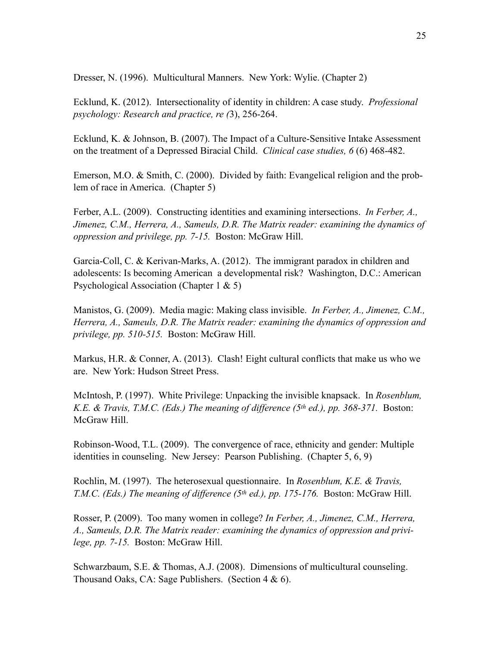Dresser, N. (1996). Multicultural Manners. New York: Wylie. (Chapter 2)

Ecklund, K. (2012). Intersectionality of identity in children: A case study. *Professional psychology: Research and practice, re (*3), 256-264.

Ecklund, K. & Johnson, B. (2007). The Impact of a Culture-Sensitive Intake Assessment on the treatment of a Depressed Biracial Child. *Clinical case studies, 6* (6) 468-482.

Emerson, M.O. & Smith, C. (2000). Divided by faith: Evangelical religion and the problem of race in America. (Chapter 5)

Ferber, A.L. (2009). Constructing identities and examining intersections. *In Ferber, A., Jimenez, C.M., Herrera, A., Sameuls, D.R. The Matrix reader: examining the dynamics of oppression and privilege, pp. 7-15.* Boston: McGraw Hill.

Garcia-Coll, C. & Kerivan-Marks, A. (2012). The immigrant paradox in children and adolescents: Is becoming American a developmental risk? Washington, D.C.: American Psychological Association (Chapter 1 & 5)

Manistos, G. (2009). Media magic: Making class invisible. *In Ferber, A., Jimenez, C.M., Herrera, A., Sameuls, D.R. The Matrix reader: examining the dynamics of oppression and privilege, pp. 510-515.* Boston: McGraw Hill.

Markus, H.R. & Conner, A. (2013). Clash! Eight cultural conflicts that make us who we are. New York: Hudson Street Press.

McIntosh, P. (1997). White Privilege: Unpacking the invisible knapsack. In *Rosenblum, K.E. & Travis, T.M.C. (Eds.) The meaning of difference (5th ed.), pp. 368-371.* Boston: McGraw Hill.

Robinson-Wood, T.L. (2009). The convergence of race, ethnicity and gender: Multiple identities in counseling. New Jersey: Pearson Publishing. (Chapter 5, 6, 9)

Rochlin, M. (1997). The heterosexual questionnaire. In *Rosenblum, K.E. & Travis, T.M.C. (Eds.) The meaning of difference (5th ed.), pp. 175-176.* Boston: McGraw Hill.

Rosser, P. (2009). Too many women in college? *In Ferber, A., Jimenez, C.M., Herrera, A., Sameuls, D.R. The Matrix reader: examining the dynamics of oppression and privilege, pp. 7-15.* Boston: McGraw Hill.

Schwarzbaum, S.E. & Thomas, A.J. (2008). Dimensions of multicultural counseling. Thousand Oaks, CA: Sage Publishers. (Section 4 & 6).